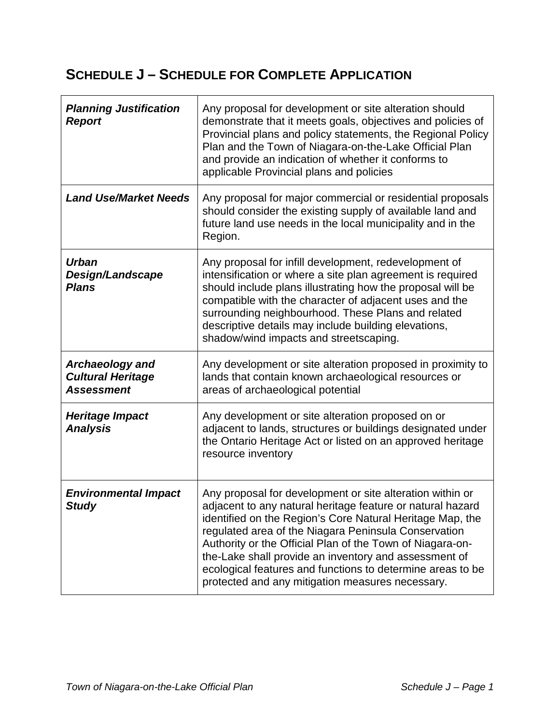## **SCHEDULE J – SCHEDULE FOR COMPLETE APPLICATION**

| <b>Planning Justification</b><br><b>Report</b>                   | Any proposal for development or site alteration should<br>demonstrate that it meets goals, objectives and policies of<br>Provincial plans and policy statements, the Regional Policy<br>Plan and the Town of Niagara-on-the-Lake Official Plan<br>and provide an indication of whether it conforms to<br>applicable Provincial plans and policies                                                                                                                                    |
|------------------------------------------------------------------|--------------------------------------------------------------------------------------------------------------------------------------------------------------------------------------------------------------------------------------------------------------------------------------------------------------------------------------------------------------------------------------------------------------------------------------------------------------------------------------|
| <b>Land Use/Market Needs</b>                                     | Any proposal for major commercial or residential proposals<br>should consider the existing supply of available land and<br>future land use needs in the local municipality and in the<br>Region.                                                                                                                                                                                                                                                                                     |
| <b>Urban</b><br>Design/Landscape<br><b>Plans</b>                 | Any proposal for infill development, redevelopment of<br>intensification or where a site plan agreement is required<br>should include plans illustrating how the proposal will be<br>compatible with the character of adjacent uses and the<br>surrounding neighbourhood. These Plans and related<br>descriptive details may include building elevations,<br>shadow/wind impacts and streetscaping.                                                                                  |
| Archaeology and<br><b>Cultural Heritage</b><br><b>Assessment</b> | Any development or site alteration proposed in proximity to<br>lands that contain known archaeological resources or<br>areas of archaeological potential                                                                                                                                                                                                                                                                                                                             |
| Heritage Impact<br><b>Analysis</b>                               | Any development or site alteration proposed on or<br>adjacent to lands, structures or buildings designated under<br>the Ontario Heritage Act or listed on an approved heritage<br>resource inventory                                                                                                                                                                                                                                                                                 |
| <b>Environmental Impact</b><br><b>Study</b>                      | Any proposal for development or site alteration within or<br>adjacent to any natural heritage feature or natural hazard<br>identified on the Region's Core Natural Heritage Map, the<br>regulated area of the Niagara Peninsula Conservation<br>Authority or the Official Plan of the Town of Niagara-on-<br>the-Lake shall provide an inventory and assessment of<br>ecological features and functions to determine areas to be<br>protected and any mitigation measures necessary. |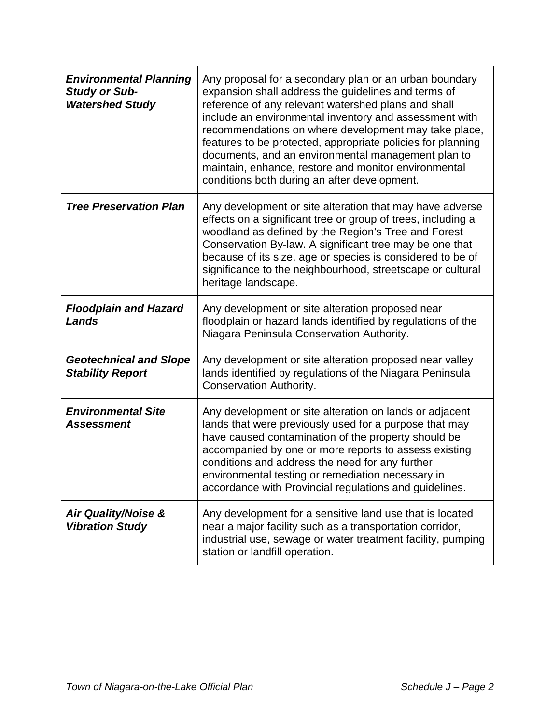| <b>Environmental Planning</b><br><b>Study or Sub-</b><br><b>Watershed Study</b> | Any proposal for a secondary plan or an urban boundary<br>expansion shall address the guidelines and terms of<br>reference of any relevant watershed plans and shall<br>include an environmental inventory and assessment with<br>recommendations on where development may take place,<br>features to be protected, appropriate policies for planning<br>documents, and an environmental management plan to<br>maintain, enhance, restore and monitor environmental<br>conditions both during an after development. |
|---------------------------------------------------------------------------------|---------------------------------------------------------------------------------------------------------------------------------------------------------------------------------------------------------------------------------------------------------------------------------------------------------------------------------------------------------------------------------------------------------------------------------------------------------------------------------------------------------------------|
| <b>Tree Preservation Plan</b>                                                   | Any development or site alteration that may have adverse<br>effects on a significant tree or group of trees, including a<br>woodland as defined by the Region's Tree and Forest<br>Conservation By-law. A significant tree may be one that<br>because of its size, age or species is considered to be of<br>significance to the neighbourhood, streetscape or cultural<br>heritage landscape.                                                                                                                       |
| <b>Floodplain and Hazard</b><br>Lands                                           | Any development or site alteration proposed near<br>floodplain or hazard lands identified by regulations of the<br>Niagara Peninsula Conservation Authority.                                                                                                                                                                                                                                                                                                                                                        |
| <b>Geotechnical and Slope</b><br><b>Stability Report</b>                        | Any development or site alteration proposed near valley<br>lands identified by regulations of the Niagara Peninsula<br><b>Conservation Authority.</b>                                                                                                                                                                                                                                                                                                                                                               |
| <b>Environmental Site</b><br>Assessment                                         | Any development or site alteration on lands or adjacent<br>lands that were previously used for a purpose that may<br>have caused contamination of the property should be<br>accompanied by one or more reports to assess existing<br>conditions and address the need for any further<br>environmental testing or remediation necessary in<br>accordance with Provincial regulations and guidelines.                                                                                                                 |
| <b>Air Quality/Noise &amp;</b><br><b>Vibration Study</b>                        | Any development for a sensitive land use that is located<br>near a major facility such as a transportation corridor,<br>industrial use, sewage or water treatment facility, pumping<br>station or landfill operation.                                                                                                                                                                                                                                                                                               |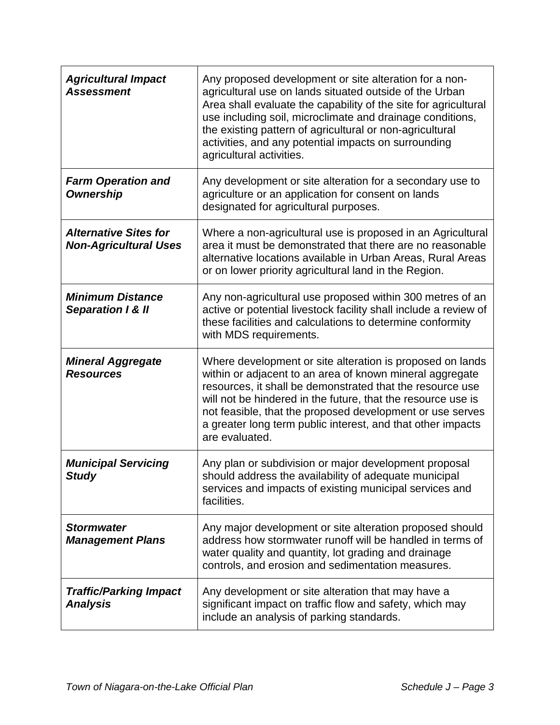| <b>Agricultural Impact</b><br><b>Assessment</b>              | Any proposed development or site alteration for a non-<br>agricultural use on lands situated outside of the Urban<br>Area shall evaluate the capability of the site for agricultural<br>use including soil, microclimate and drainage conditions,<br>the existing pattern of agricultural or non-agricultural<br>activities, and any potential impacts on surrounding<br>agricultural activities. |
|--------------------------------------------------------------|---------------------------------------------------------------------------------------------------------------------------------------------------------------------------------------------------------------------------------------------------------------------------------------------------------------------------------------------------------------------------------------------------|
| <b>Farm Operation and</b><br><b>Ownership</b>                | Any development or site alteration for a secondary use to<br>agriculture or an application for consent on lands<br>designated for agricultural purposes.                                                                                                                                                                                                                                          |
| <b>Alternative Sites for</b><br><b>Non-Agricultural Uses</b> | Where a non-agricultural use is proposed in an Agricultural<br>area it must be demonstrated that there are no reasonable<br>alternative locations available in Urban Areas, Rural Areas<br>or on lower priority agricultural land in the Region.                                                                                                                                                  |
| <b>Minimum Distance</b><br><b>Separation 1 &amp; II</b>      | Any non-agricultural use proposed within 300 metres of an<br>active or potential livestock facility shall include a review of<br>these facilities and calculations to determine conformity<br>with MDS requirements.                                                                                                                                                                              |
| <b>Mineral Aggregate</b><br><b>Resources</b>                 | Where development or site alteration is proposed on lands<br>within or adjacent to an area of known mineral aggregate<br>resources, it shall be demonstrated that the resource use<br>will not be hindered in the future, that the resource use is<br>not feasible, that the proposed development or use serves<br>a greater long term public interest, and that other impacts<br>are evaluated.  |
| <b>Municipal Servicing</b><br><b>Study</b>                   | Any plan or subdivision or major development proposal<br>should address the availability of adequate municipal<br>services and impacts of existing municipal services and<br>facilities.                                                                                                                                                                                                          |
| <b>Stormwater</b><br><b>Management Plans</b>                 | Any major development or site alteration proposed should<br>address how stormwater runoff will be handled in terms of<br>water quality and quantity, lot grading and drainage<br>controls, and erosion and sedimentation measures.                                                                                                                                                                |
| <b>Traffic/Parking Impact</b><br><b>Analysis</b>             | Any development or site alteration that may have a<br>significant impact on traffic flow and safety, which may<br>include an analysis of parking standards.                                                                                                                                                                                                                                       |